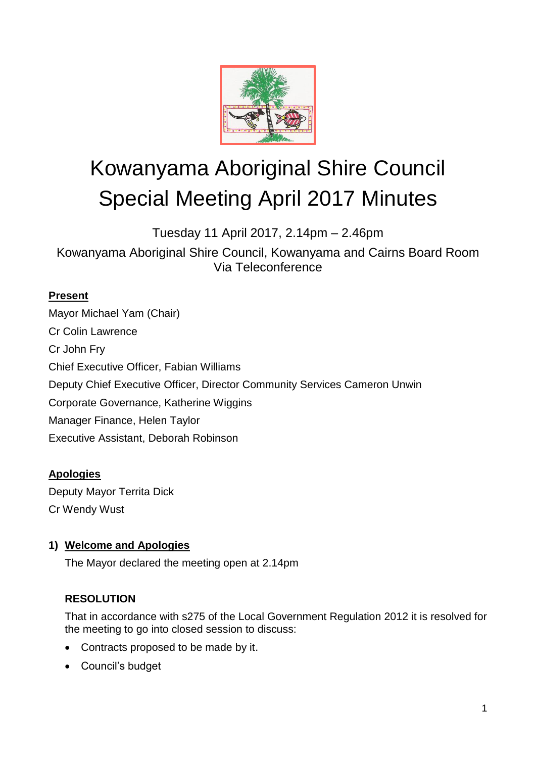

# Kowanyama Aboriginal Shire Council Special Meeting April 2017 Minutes

Tuesday 11 April 2017, 2.14pm – 2.46pm

Kowanyama Aboriginal Shire Council, Kowanyama and Cairns Board Room Via Teleconference

## **Present**

Mayor Michael Yam (Chair) Cr Colin Lawrence Cr John Fry Chief Executive Officer, Fabian Williams Deputy Chief Executive Officer, Director Community Services Cameron Unwin Corporate Governance, Katherine Wiggins Manager Finance, Helen Taylor Executive Assistant, Deborah Robinson

### **Apologies**

Deputy Mayor Territa Dick Cr Wendy Wust

# **1) Welcome and Apologies**

The Mayor declared the meeting open at 2.14pm

# **RESOLUTION**

That in accordance with s275 of the Local Government Regulation 2012 it is resolved for the meeting to go into closed session to discuss:

- Contracts proposed to be made by it.
- Council's budget